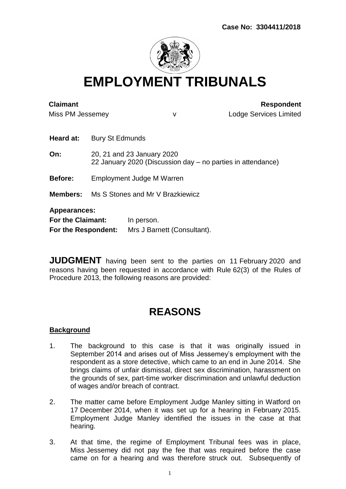

**EMPLOYMENT TRIBUNALS**

| <b>Claimant</b><br>Miss PM Jessemey                             |                                                                                           | v                                         | <b>Respondent</b><br><b>Lodge Services Limited</b> |
|-----------------------------------------------------------------|-------------------------------------------------------------------------------------------|-------------------------------------------|----------------------------------------------------|
| Heard at:                                                       | Bury St Edmunds                                                                           |                                           |                                                    |
| On:                                                             | 20, 21 and 23 January 2020<br>22 January 2020 (Discussion day – no parties in attendance) |                                           |                                                    |
| <b>Before:</b>                                                  | Employment Judge M Warren                                                                 |                                           |                                                    |
|                                                                 | <b>Members:</b> Ms S Stones and Mr V Brazkiewicz                                          |                                           |                                                    |
| <b>Appearances:</b><br>For the Claimant:<br>For the Respondent: |                                                                                           | In person.<br>Mrs J Barnett (Consultant). |                                                    |

**JUDGMENT** having been sent to the parties on 11 February 2020 and reasons having been requested in accordance with Rule 62(3) of the Rules of Procedure 2013, the following reasons are provided:

# **REASONS**

## **Background**

- 1. The background to this case is that it was originally issued in September 2014 and arises out of Miss Jessemey's employment with the respondent as a store detective, which came to an end in June 2014. She brings claims of unfair dismissal, direct sex discrimination, harassment on the grounds of sex, part-time worker discrimination and unlawful deduction of wages and/or breach of contract.
- 2. The matter came before Employment Judge Manley sitting in Watford on 17 December 2014, when it was set up for a hearing in February 2015. Employment Judge Manley identified the issues in the case at that hearing.
- 3. At that time, the regime of Employment Tribunal fees was in place, Miss Jessemey did not pay the fee that was required before the case came on for a hearing and was therefore struck out. Subsequently of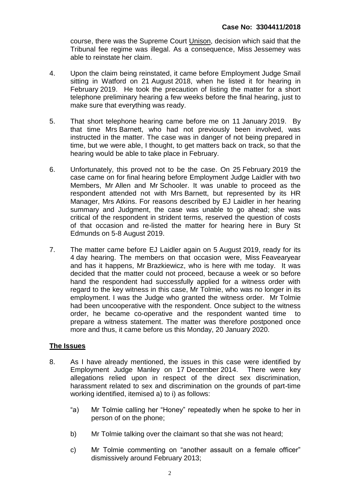course, there was the Supreme Court Unison, decision which said that the Tribunal fee regime was illegal. As a consequence, Miss Jessemey was able to reinstate her claim.

- 4. Upon the claim being reinstated, it came before Employment Judge Smail sitting in Watford on 21 August 2018, when he listed it for hearing in February 2019. He took the precaution of listing the matter for a short telephone preliminary hearing a few weeks before the final hearing, just to make sure that everything was ready.
- 5. That short telephone hearing came before me on 11 January 2019. By that time Mrs Barnett, who had not previously been involved, was instructed in the matter. The case was in danger of not being prepared in time, but we were able, I thought, to get matters back on track, so that the hearing would be able to take place in February.
- 6. Unfortunately, this proved not to be the case. On 25 February 2019 the case came on for final hearing before Employment Judge Laidler with two Members, Mr Allen and Mr Schooler. It was unable to proceed as the respondent attended not with Mrs Barnett, but represented by its HR Manager, Mrs Atkins. For reasons described by EJ Laidler in her hearing summary and Judgment, the case was unable to go ahead; she was critical of the respondent in strident terms, reserved the question of costs of that occasion and re-listed the matter for hearing here in Bury St Edmunds on 5-8 August 2019.
- 7. The matter came before EJ Laidler again on 5 August 2019, ready for its 4 day hearing. The members on that occasion were, Miss Feavearyear and has it happens, Mr Brazkiewicz, who is here with me today. It was decided that the matter could not proceed, because a week or so before hand the respondent had successfully applied for a witness order with regard to the key witness in this case, Mr Tolmie, who was no longer in its employment. I was the Judge who granted the witness order. Mr Tolmie had been uncooperative with the respondent. Once subject to the witness order, he became co-operative and the respondent wanted time to prepare a witness statement. The matter was therefore postponed once more and thus, it came before us this Monday, 20 January 2020.

## **The Issues**

- 8. As I have already mentioned, the issues in this case were identified by Employment Judge Manley on 17 December 2014. There were key allegations relied upon in respect of the direct sex discrimination, harassment related to sex and discrimination on the grounds of part-time working identified, itemised a) to i) as follows:
	- "a) Mr Tolmie calling her "Honey" repeatedly when he spoke to her in person of on the phone;
	- b) Mr Tolmie talking over the claimant so that she was not heard;
	- c) Mr Tolmie commenting on "another assault on a female officer" dismissively around February 2013;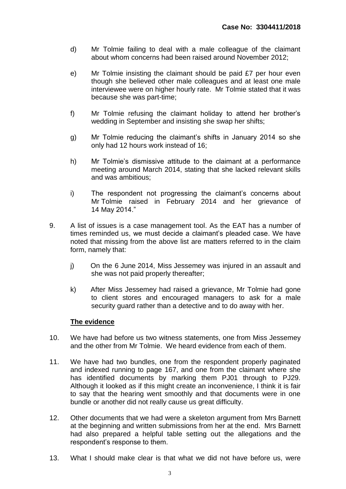- d) Mr Tolmie failing to deal with a male colleague of the claimant about whom concerns had been raised around November 2012;
- e) Mr Tolmie insisting the claimant should be paid £7 per hour even though she believed other male colleagues and at least one male interviewee were on higher hourly rate. Mr Tolmie stated that it was because she was part-time;
- f) Mr Tolmie refusing the claimant holiday to attend her brother's wedding in September and insisting she swap her shifts;
- g) Mr Tolmie reducing the claimant's shifts in January 2014 so she only had 12 hours work instead of 16;
- h) Mr Tolmie's dismissive attitude to the claimant at a performance meeting around March 2014, stating that she lacked relevant skills and was ambitious;
- i) The respondent not progressing the claimant's concerns about Mr Tolmie raised in February 2014 and her grievance of 14 May 2014."
- 9. A list of issues is a case management tool. As the EAT has a number of times reminded us, we must decide a claimant's pleaded case. We have noted that missing from the above list are matters referred to in the claim form, namely that:
	- j) On the 6 June 2014, Miss Jessemey was injured in an assault and she was not paid properly thereafter;
	- k) After Miss Jessemey had raised a grievance, Mr Tolmie had gone to client stores and encouraged managers to ask for a male security guard rather than a detective and to do away with her.

## **The evidence**

- 10. We have had before us two witness statements, one from Miss Jessemey and the other from Mr Tolmie. We heard evidence from each of them.
- 11. We have had two bundles, one from the respondent properly paginated and indexed running to page 167, and one from the claimant where she has identified documents by marking them PJ01 through to PJ29. Although it looked as if this might create an inconvenience, I think it is fair to say that the hearing went smoothly and that documents were in one bundle or another did not really cause us great difficulty.
- 12. Other documents that we had were a skeleton argument from Mrs Barnett at the beginning and written submissions from her at the end. Mrs Barnett had also prepared a helpful table setting out the allegations and the respondent's response to them.
- 13. What I should make clear is that what we did not have before us, were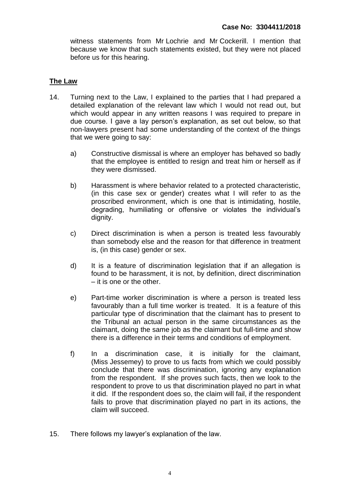witness statements from Mr Lochrie and Mr Cockerill. I mention that because we know that such statements existed, but they were not placed before us for this hearing.

# **The Law**

- 14. Turning next to the Law, I explained to the parties that I had prepared a detailed explanation of the relevant law which I would not read out, but which would appear in any written reasons I was required to prepare in due course. I gave a lay person's explanation, as set out below, so that non-lawyers present had some understanding of the context of the things that we were going to say:
	- a) Constructive dismissal is where an employer has behaved so badly that the employee is entitled to resign and treat him or herself as if they were dismissed.
	- b) Harassment is where behavior related to a protected characteristic, (in this case sex or gender) creates what I will refer to as the proscribed environment, which is one that is intimidating, hostile, degrading, humiliating or offensive or violates the individual's dignity.
	- c) Direct discrimination is when a person is treated less favourably than somebody else and the reason for that difference in treatment is, (in this case) gender or sex.
	- d) It is a feature of discrimination legislation that if an allegation is found to be harassment, it is not, by definition, direct discrimination – it is one or the other.
	- e) Part-time worker discrimination is where a person is treated less favourably than a full time worker is treated. It is a feature of this particular type of discrimination that the claimant has to present to the Tribunal an actual person in the same circumstances as the claimant, doing the same job as the claimant but full-time and show there is a difference in their terms and conditions of employment.
	- f) In a discrimination case, it is initially for the claimant, (Miss Jessemey) to prove to us facts from which we could possibly conclude that there was discrimination, ignoring any explanation from the respondent. If she proves such facts, then we look to the respondent to prove to us that discrimination played no part in what it did. If the respondent does so, the claim will fail, if the respondent fails to prove that discrimination played no part in its actions, the claim will succeed.
- 15. There follows my lawyer's explanation of the law.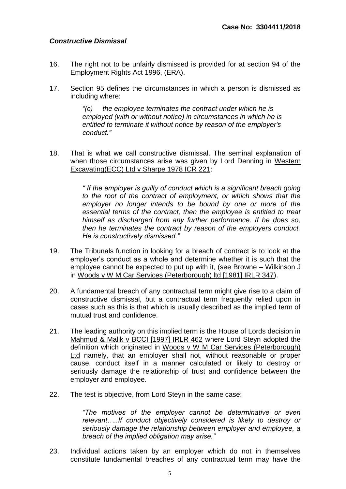## *Constructive Dismissal*

- 16. The right not to be unfairly dismissed is provided for at section 94 of the Employment Rights Act 1996, (ERA).
- 17. Section 95 defines the circumstances in which a person is dismissed as including where:

*"(c) the employee terminates the contract under which he is employed (with or without notice) in circumstances in which he is entitled to terminate it without notice by reason of the employer's conduct."*

18. That is what we call constructive dismissal. The seminal explanation of when those circumstances arise was given by Lord Denning in Western Excavating(ECC) Ltd v Sharpe 1978 ICR 221:

> *" If the employer is guilty of conduct which is a significant breach going to the root of the contract of employment, or which shows that the employer no longer intends to be bound by one or more of the*  essential terms of the contract, then the employee is entitled to treat *himself as discharged from any further performance. If he does so, then he terminates the contract by reason of the employers conduct. He is constructively dismissed."*

- 19. The Tribunals function in looking for a breach of contract is to look at the employer's conduct as a whole and determine whether it is such that the employee cannot be expected to put up with it, (see Browne – Wilkinson J in Woods v W M Car Services (Peterborough) ltd [1981] IRLR 347).
- 20. A fundamental breach of any contractual term might give rise to a claim of constructive dismissal, but a contractual term frequently relied upon in cases such as this is that which is usually described as the implied term of mutual trust and confidence.
- 21. The leading authority on this implied term is the House of Lords decision in Mahmud & Malik v BCCI [1997] IRLR 462 where Lord Steyn adopted the definition which originated in Woods v W M Car Services (Peterborough) Ltd namely, that an employer shall not, without reasonable or proper cause, conduct itself in a manner calculated or likely to destroy or seriously damage the relationship of trust and confidence between the employer and employee.
- 22. The test is objective, from Lord Steyn in the same case:

*"The motives of the employer cannot be determinative or even relevant…..If conduct objectively considered is likely to destroy or seriously damage the relationship between employer and employee, a breach of the implied obligation may arise."*

23. Individual actions taken by an employer which do not in themselves constitute fundamental breaches of any contractual term may have the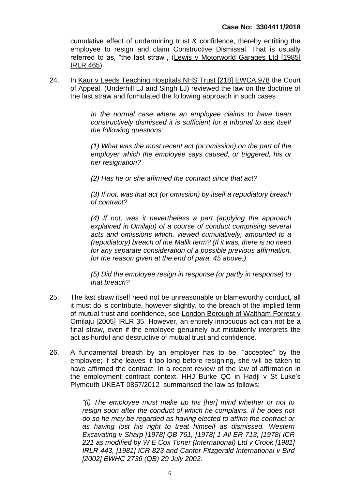cumulative effect of undermining trust & confidence, thereby entitling the employee to resign and claim Constructive Dismissal. That is usually referred to as, "the last straw", (Lewis v Motorworld Garages Ltd [1985] IRLR 465).

24. In Kaur v Leeds Teaching Hospitals NHS Trust [218] EWCA 978 the Court of Appeal, (Underhill LJ and Singh LJ) reviewed the law on the doctrine of the last straw and formulated the following approach in such cases

> *In the normal case where an employee claims to have been constructively dismissed it is sufficient for a tribunal to ask itself the following questions:*

> *(1) What was the most recent act (or omission) on the part of the employer which the employee says caused, or triggered, his or her resignation?*

*(2) Has he or she affirmed the contract since that act?*

*(3) If not, was that act (or omission) by itself a repudiatory breach of contract?*

*(4) If not, was it nevertheless a part (applying the approach explained in Omilaju) of a course of conduct comprising several acts and omissions which, viewed cumulatively, amounted to a (repudiatory) breach of the Malik term? (If it was, there is no need for any separate consideration of a possible previous affirmation, for the reason given at the end of para. 45 above.)*

*(5) Did the employee resign in response (or partly in response) to that breach?*

- 25. The last straw itself need not be unreasonable or blameworthy conduct, all it must do is contribute, however slightly, to the breach of the implied term of mutual trust and confidence, see London Borough of Waltham Forrest v Omilaju [2005] IRLR 35. However, an entirely innocuous act can not be a final straw, even if the employee genuinely but mistakenly interprets the act as hurtful and destructive of mutual trust and confidence.
- 26. A fundamental breach by an employer has to be, "accepted" by the employee; if she leaves it too long before resigning, she will be taken to have affirmed the contract. In a recent review of the law of affirmation in the employment contract context, HHJ Burke QC in Hadji v St Luke's Plymouth UKEAT 0857/2012 summarised the law as follows:

*"(i) The employee must make up his [her] mind whether or not to resign soon after the conduct of which he complains. If he does not do so he may be regarded as having elected to affirm the contract or as having lost his right to treat himself as dismissed. Western Excavating v Sharp [\[1978\] QB 761,](https://www.lexisnexis.com/uk/legal/search/runRemoteLink.do?A=0.943026068339956&bct=A&service=citation&risb=21_T21570183710&langcountry=GB&linkInfo=F%23GB%23QB%23sel1%251978%25page%25761%25year%251978%25) [\[1978\] 1 All ER 713,](https://www.lexisnexis.com/uk/legal/search/runRemoteLink.do?A=0.2901330368931708&bct=A&service=citation&risb=21_T21570183710&langcountry=GB&linkInfo=F%23GB%23ALLER%23vol%251%25sel1%251978%25page%25713%25year%251978%25sel2%251%25) [1978] ICR 221 as modified by W E Cox Toner (International) Ltd v Crook [\[1981\]](https://www.lexisnexis.com/uk/legal/search/runRemoteLink.do?A=0.8770547747410453&bct=A&service=citation&risb=21_T21570183710&langcountry=GB&linkInfo=F%23GB%23IRLR%23sel1%251981%25page%25443%25year%251981%25)  [IRLR 443,](https://www.lexisnexis.com/uk/legal/search/runRemoteLink.do?A=0.8770547747410453&bct=A&service=citation&risb=21_T21570183710&langcountry=GB&linkInfo=F%23GB%23IRLR%23sel1%251981%25page%25443%25year%251981%25) [1981] ICR 823 and Cantor Fitzgerald International v Bird [2002] EWHC 2736 (QB) 29 July 2002.*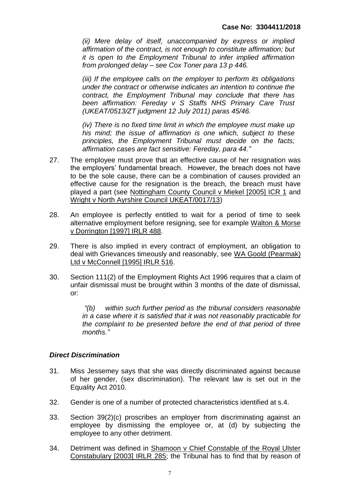*(ii) Mere delay of itself, unaccompanied by express or implied affirmation of the contract, is not enough to constitute affirmation; but it is open to the Employment Tribunal to infer implied affirmation from prolonged delay – see Cox Toner para 13 p 446.*

*(iii) If the employee calls on the employer to perform its obligations under the contract or otherwise indicates an intention to continue the contract, the Employment Tribunal may conclude that there has been affirmation: Fereday v S Staffs NHS Primary Care Trust (UKEAT/0513/ZT judgment 12 July 2011) paras 45/46.*

*(iv) There is no fixed time limit in which the employee must make up his mind; the issue of affirmation is one which, subject to these principles, the Employment Tribunal must decide on the facts; affirmation cases are fact sensitive: Fereday, para 44."*

- 27. The employee must prove that an effective cause of her resignation was the employers' fundamental breach. However, the breach does not have to be the sole cause, there can be a combination of causes provided an effective cause for the resignation is the breach, the breach must have played a part (see Nottingham County Council v Miekel [2005] ICR 1 and Wright v North Ayrshire Council UKEAT/0017/13)
- 28. An employee is perfectly entitled to wait for a period of time to seek alternative employment before resigning, see for example Walton & Morse v Dorrington [1997] IRLR 488.
- 29. There is also implied in every contract of employment, an obligation to deal with Grievances timeously and reasonably, see WA Goold (Pearmak) Ltd v McConnell [1995] IRLR 516.
- 30. Section 111(2) of the Employment Rights Act 1996 requires that a claim of unfair dismissal must be brought within 3 months of the date of dismissal, or:

*"(b) within such further period as the tribunal considers reasonable in a case where it is satisfied that it was not reasonably practicable for the complaint to be presented before the end of that period of three months."*

## *Direct Discrimination*

- 31. Miss Jessemey says that she was directly discriminated against because of her gender, (sex discrimination). The relevant law is set out in the Equality Act 2010.
- 32. Gender is one of a number of protected characteristics identified at s.4.
- 33. Section 39(2)(c) proscribes an employer from discriminating against an employee by dismissing the employee or, at (d) by subjecting the employee to any other detriment.
- 34. Detriment was defined in Shamoon v Chief Constable of the Royal Ulster Constabulary [2003] IRLR 285; the Tribunal has to find that by reason of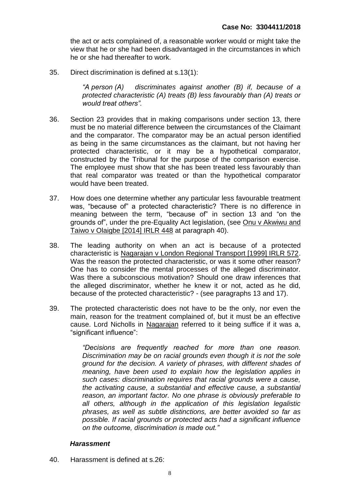the act or acts complained of, a reasonable worker would or might take the view that he or she had been disadvantaged in the circumstances in which he or she had thereafter to work.

35. Direct discrimination is defined at s.13(1):

*"A person (A) discriminates against another (B) if, because of a protected characteristic (A) treats (B) less favourably than (A) treats or would treat others".*

- 36. Section 23 provides that in making comparisons under section 13, there must be no material difference between the circumstances of the Claimant and the comparator. The comparator may be an actual person identified as being in the same circumstances as the claimant, but not having her protected characteristic, or it may be a hypothetical comparator, constructed by the Tribunal for the purpose of the comparison exercise. The employee must show that she has been treated less favourably than that real comparator was treated or than the hypothetical comparator would have been treated.
- 37. How does one determine whether any particular less favourable treatment was, "because of" a protected characteristic? There is no difference in meaning between the term, "because of" in section 13 and "on the grounds of", under the pre-Equality Act legislation, (see Onu v Akwiwu and Taiwo v Olaigbe [2014] IRLR 448 at paragraph 40).
- 38. The leading authority on when an act is because of a protected characteristic is Nagarajan v London Regional Transport [1999] IRLR 572. Was the reason the protected characteristic, or was it some other reason? One has to consider the mental processes of the alleged discriminator. Was there a subconscious motivation? Should one draw inferences that the alleged discriminator, whether he knew it or not, acted as he did, because of the protected characteristic? - (see paragraphs 13 and 17).
- 39. The protected characteristic does not have to be the only, nor even the main, reason for the treatment complained of, but it must be an effective cause. Lord Nicholls in Nagarajan referred to it being suffice if it was a, "significant influence":

*"Decisions are frequently reached for more than one reason. Discrimination may be on racial grounds even though it is not the sole ground for the decision. A variety of phrases, with different shades of meaning, have been used to explain how the legislation applies in such cases: discrimination requires that racial grounds were a cause, the activating cause, a substantial and effective cause, a substantial reason, an important factor. No one phrase is obviously preferable to all others, although in the application of this legislation legalistic phrases, as well as subtle distinctions, are better avoided so far as possible. If racial grounds or protected acts had a significant influence on the outcome, discrimination is made out."*

## *Harassment*

40. Harassment is defined at s.26: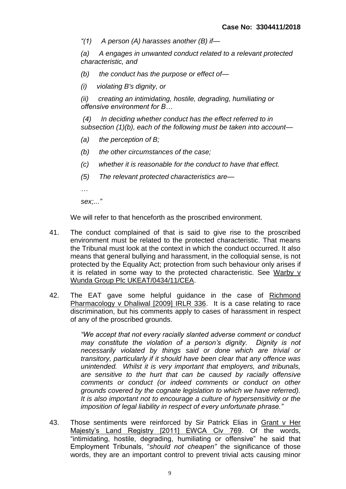*"(1) A person (A) harasses another (B) if—*

*(a) A engages in unwanted conduct related to a relevant protected characteristic, and*

- *(b) the conduct has the purpose or effect of—*
- *(i) violating B's dignity, or*

*(ii) creating an intimidating, hostile, degrading, humiliating or offensive environment for B…*

*(4) In deciding whether conduct has the effect referred to in subsection (1)(b), each of the following must be taken into account—*

- *(a) the perception of B;*
- *(b) the other circumstances of the case;*
- *(c) whether it is reasonable for the conduct to have that effect.*
- *(5) The relevant protected characteristics are—*
- *…*

*sex;..."*

We will refer to that henceforth as the proscribed environment.

- 41. The conduct complained of that is said to give rise to the proscribed environment must be related to the protected characteristic. That means the Tribunal must look at the context in which the conduct occurred. It also means that general bullying and harassment, in the colloquial sense, is not protected by the Equality Act; protection from such behaviour only arises if it is related in some way to the protected characteristic. See Warby v Wunda Group Plc UKEAT/0434/11/CEA.
- 42. The EAT gave some helpful guidance in the case of Richmond Pharmacology v Dhaliwal [2009] IRLR 336. It is a case relating to race discrimination, but his comments apply to cases of harassment in respect of any of the proscribed grounds.

*"We accept that not every racially slanted adverse comment or conduct may constitute the violation of a person's dignity. Dignity is not necessarily violated by things said or done which are trivial or transitory, particularly if it should have been clear that any offence was unintended. Whilst it is very important that employers, and tribunals, are sensitive to the hurt that can be caused by racially offensive comments or conduct (or indeed comments or conduct on other grounds covered by the cognate legislation to which we have referred). It is also important not to encourage a culture of hypersensitivity or the imposition of legal liability in respect of every unfortunate phrase."*

43. Those sentiments were reinforced by Sir Patrick Elias in Grant v Her Majesty's Land Registry [2011] EWCA Civ 769. Of the words, "intimidating, hostile, degrading, humiliating or offensive" he said that Employment Tribunals, "*should not cheapen"* the significance of those words, they are an important control to prevent trivial acts causing minor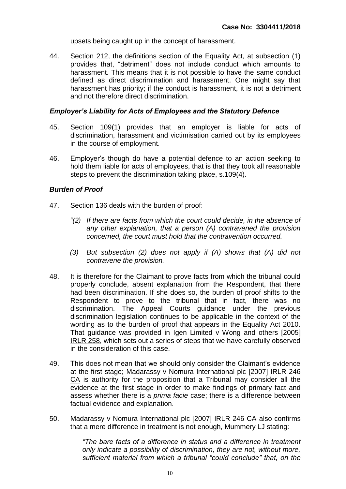upsets being caught up in the concept of harassment.

44. Section 212, the definitions section of the Equality Act, at subsection (1) provides that, "detriment" does not include conduct which amounts to harassment. This means that it is not possible to have the same conduct defined as direct discrimination and harassment. One might say that harassment has priority; if the conduct is harassment, it is not a detriment and not therefore direct discrimination.

#### *Employer's Liability for Acts of Employees and the Statutory Defence*

- 45. Section 109(1) provides that an employer is liable for acts of discrimination, harassment and victimisation carried out by its employees in the course of employment.
- 46. Employer's though do have a potential defence to an action seeking to hold them liable for acts of employees, that is that they took all reasonable steps to prevent the discrimination taking place, s.109(4).

#### *Burden of Proof*

- 47. Section 136 deals with the burden of proof:
	- *"(2) If there are facts from which the court could decide, in the absence of any other explanation, that a person (A) contravened the provision concerned, the court must hold that the contravention occurred.*
	- *(3) But subsection (2) does not apply if (A) shows that (A) did not contravene the provision.*
- 48. It is therefore for the Claimant to prove facts from which the tribunal could properly conclude, absent explanation from the Respondent, that there had been discrimination. If she does so, the burden of proof shifts to the Respondent to prove to the tribunal that in fact, there was no discrimination. The Appeal Courts guidance under the previous discrimination legislation continues to be applicable in the context of the wording as to the burden of proof that appears in the Equality Act 2010. That guidance was provided in Igen Limited v Wong and others [2005] IRLR 258, which sets out a series of steps that we have carefully observed in the consideration of this case.
- 49. This does not mean that we should only consider the Claimant's evidence at the first stage; Madarassy v Nomura International plc [2007] IRLR 246 CA is authority for the proposition that a Tribunal may consider all the evidence at the first stage in order to make findings of primary fact and assess whether there is a *prima facie* case; there is a difference between factual evidence and explanation.
- 50. Madarassy v Nomura International plc [2007] IRLR 246 CA also confirms that a mere difference in treatment is not enough, Mummery LJ stating:

*"The bare facts of a difference in status and a difference in treatment only indicate a possibility of discrimination, they are not, without more, sufficient material from which a tribunal "could conclude" that, on the*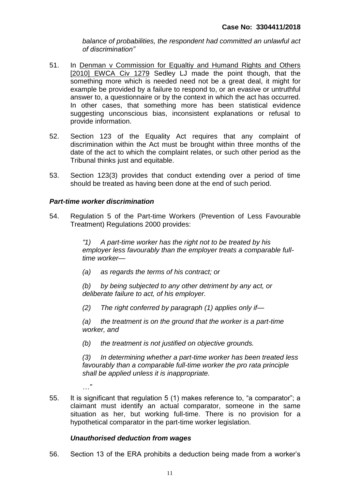*balance of probabilities, the respondent had committed an unlawful act of discrimination"*

- 51. In Denman v Commission for Equaltiy and Humand Rights and Others [2010] EWCA Civ 1279 Sedley LJ made the point though, that the something more which is needed need not be a great deal, it might for example be provided by a failure to respond to, or an evasive or untruthful answer to, a questionnaire or by the context in which the act has occurred. In other cases, that something more has been statistical evidence suggesting unconscious bias, inconsistent explanations or refusal to provide information.
- 52. Section 123 of the Equality Act requires that any complaint of discrimination within the Act must be brought within three months of the date of the act to which the complaint relates, or such other period as the Tribunal thinks just and equitable.
- 53. Section 123(3) provides that conduct extending over a period of time should be treated as having been done at the end of such period.

## *Part-time worker discrimination*

54. Regulation 5 of the Part-time Workers (Prevention of Less Favourable Treatment) Regulations 2000 provides:

> *"1) A part-time worker has the right not to be treated by his employer less favourably than the employer treats a comparable fulltime worker—*

*(a) as regards the terms of his contract; or*

*(b) by being subjected to any other detriment by any act, or deliberate failure to act, of his employer.*

*(2) The right conferred by paragraph (1) applies only if—*

*(a) the treatment is on the ground that the worker is a part-time worker, and*

*(b) the treatment is not justified on objective grounds.*

*(3) In determining whether a part-time worker has been treated less*  favourably than a comparable full-time worker the pro rata principle *shall be applied unless it is inappropriate.*

- *…"*
- 55. It is significant that regulation 5 (1) makes reference to, "a comparator"; a claimant must identify an actual comparator, someone in the same situation as her, but working full-time. There is no provision for a hypothetical comparator in the part-time worker legislation.

## *Unauthorised deduction from wages*

56. Section 13 of the ERA prohibits a deduction being made from a worker's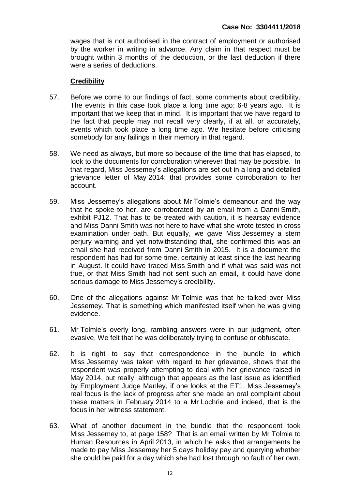wages that is not authorised in the contract of employment or authorised by the worker in writing in advance. Any claim in that respect must be brought within 3 months of the deduction, or the last deduction if there were a series of deductions.

#### **Credibility**

- 57. Before we come to our findings of fact, some comments about credibility. The events in this case took place a long time ago; 6-8 years ago. It is important that we keep that in mind. It is important that we have regard to the fact that people may not recall very clearly, if at all, or accurately, events which took place a long time ago. We hesitate before criticising somebody for any failings in their memory in that regard.
- 58. We need as always, but more so because of the time that has elapsed, to look to the documents for corroboration wherever that may be possible. In that regard, Miss Jessemey's allegations are set out in a long and detailed grievance letter of May 2014; that provides some corroboration to her account.
- 59. Miss Jessemey's allegations about Mr Tolmie's demeanour and the way that he spoke to her, are corroborated by an email from a Danni Smith, exhibit PJ12. That has to be treated with caution, it is hearsay evidence and Miss Danni Smith was not here to have what she wrote tested in cross examination under oath. But equally, we gave Miss Jessemey a stern perjury warning and yet notwithstanding that, she confirmed this was an email she had received from Danni Smith in 2015. It is a document the respondent has had for some time, certainly at least since the last hearing in August. It could have traced Miss Smith and if what was said was not true, or that Miss Smith had not sent such an email, it could have done serious damage to Miss Jessemey's credibility.
- 60. One of the allegations against Mr Tolmie was that he talked over Miss Jessemey. That is something which manifested itself when he was giving evidence.
- 61. Mr Tolmie's overly long, rambling answers were in our judgment, often evasive. We felt that he was deliberately trying to confuse or obfuscate.
- 62. It is right to say that correspondence in the bundle to which Miss Jessemey was taken with regard to her grievance, shows that the respondent was properly attempting to deal with her grievance raised in May 2014, but really, although that appears as the last issue as identified by Employment Judge Manley, if one looks at the ET1, Miss Jessemey's real focus is the lack of progress after she made an oral complaint about these matters in February 2014 to a Mr Lochrie and indeed, that is the focus in her witness statement.
- 63. What of another document in the bundle that the respondent took Miss Jessemey to, at page 158? That is an email written by Mr Tolmie to Human Resources in April 2013, in which he asks that arrangements be made to pay Miss Jessemey her 5 days holiday pay and querying whether she could be paid for a day which she had lost through no fault of her own.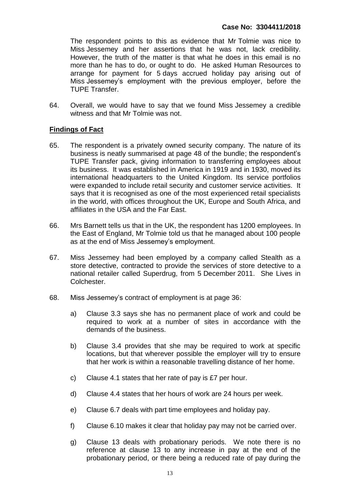The respondent points to this as evidence that Mr Tolmie was nice to Miss Jessemey and her assertions that he was not, lack credibility. However, the truth of the matter is that what he does in this email is no more than he has to do, or ought to do. He asked Human Resources to arrange for payment for 5 days accrued holiday pay arising out of Miss Jessemey's employment with the previous employer, before the TUPE Transfer.

64. Overall, we would have to say that we found Miss Jessemey a credible witness and that Mr Tolmie was not.

## **Findings of Fact**

- 65. The respondent is a privately owned security company. The nature of its business is neatly summarised at page 48 of the bundle; the respondent's TUPE Transfer pack, giving information to transferring employees about its business. It was established in America in 1919 and in 1930, moved its international headquarters to the United Kingdom. Its service portfolios were expanded to include retail security and customer service activities. It says that it is recognised as one of the most experienced retail specialists in the world, with offices throughout the UK, Europe and South Africa, and affiliates in the USA and the Far East.
- 66. Mrs Barnett tells us that in the UK, the respondent has 1200 employees. In the East of England, Mr Tolmie told us that he managed about 100 people as at the end of Miss Jessemey's employment.
- 67. Miss Jessemey had been employed by a company called Stealth as a store detective, contracted to provide the services of store detective to a national retailer called Superdrug, from 5 December 2011. She Lives in Colchester.
- 68. Miss Jessemey's contract of employment is at page 36:
	- a) Clause 3.3 says she has no permanent place of work and could be required to work at a number of sites in accordance with the demands of the business.
	- b) Clause 3.4 provides that she may be required to work at specific locations, but that wherever possible the employer will try to ensure that her work is within a reasonable travelling distance of her home.
	- c) Clause 4.1 states that her rate of pay is £7 per hour.
	- d) Clause 4.4 states that her hours of work are 24 hours per week.
	- e) Clause 6.7 deals with part time employees and holiday pay.
	- f) Clause 6.10 makes it clear that holiday pay may not be carried over.
	- g) Clause 13 deals with probationary periods. We note there is no reference at clause 13 to any increase in pay at the end of the probationary period, or there being a reduced rate of pay during the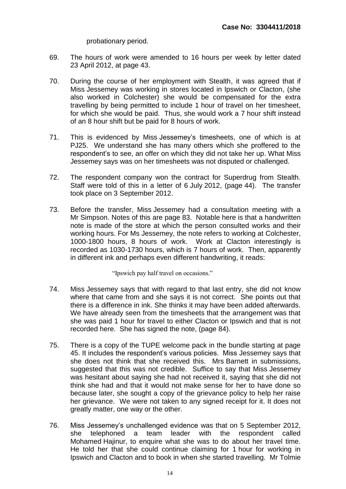probationary period.

- 69. The hours of work were amended to 16 hours per week by letter dated 23 April 2012, at page 43.
- 70. During the course of her employment with Stealth, it was agreed that if Miss Jessemey was working in stores located in Ipswich or Clacton, (she also worked in Colchester) she would be compensated for the extra travelling by being permitted to include 1 hour of travel on her timesheet, for which she would be paid. Thus, she would work a 7 hour shift instead of an 8 hour shift but be paid for 8 hours of work.
- 71. This is evidenced by Miss Jessemey's timesheets, one of which is at PJ25. We understand she has many others which she proffered to the respondent's to see, an offer on which they did not take her up. What Miss Jessemey says was on her timesheets was not disputed or challenged.
- 72. The respondent company won the contract for Superdrug from Stealth. Staff were told of this in a letter of 6 July 2012, (page 44). The transfer took place on 3 September 2012.
- 73. Before the transfer, Miss Jessemey had a consultation meeting with a Mr Simpson. Notes of this are page 83. Notable here is that a handwritten note is made of the store at which the person consulted works and their working hours. For Ms Jessemey, the note refers to working at Colchester, 1000-1800 hours, 8 hours of work. Work at Clacton interestingly is recorded as 1030-1730 hours, which is 7 hours of work. Then, apparently in different ink and perhaps even different handwriting, it reads:

"Ipswich pay half travel on occasions."

- 74. Miss Jessemey says that with regard to that last entry, she did not know where that came from and she says it is not correct. She points out that there is a difference in ink. She thinks it may have been added afterwards. We have already seen from the timesheets that the arrangement was that she was paid 1 hour for travel to either Clacton or Ipswich and that is not recorded here. She has signed the note, (page 84).
- 75. There is a copy of the TUPE welcome pack in the bundle starting at page 45. It includes the respondent's various policies. Miss Jessemey says that she does not think that she received this. Mrs Barnett in submissions, suggested that this was not credible. Suffice to say that Miss Jessemey was hesitant about saying she had not received it, saying that she did not think she had and that it would not make sense for her to have done so because later, she sought a copy of the grievance policy to help her raise her grievance. We were not taken to any signed receipt for it. It does not greatly matter, one way or the other.
- 76. Miss Jessemey's unchallenged evidence was that on 5 September 2012, she telephoned a team leader with the respondent called Mohamed Hajinur, to enquire what she was to do about her travel time. He told her that she could continue claiming for 1 hour for working in Ipswich and Clacton and to book in when she started travelling. Mr Tolmie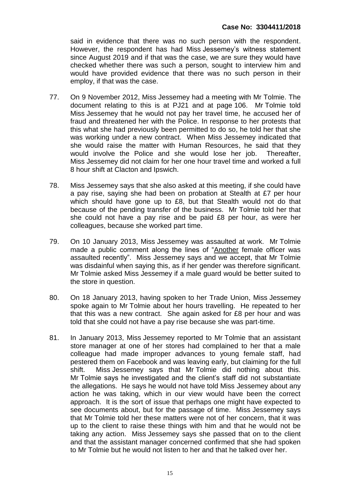said in evidence that there was no such person with the respondent. However, the respondent has had Miss Jessemey's witness statement since August 2019 and if that was the case, we are sure they would have checked whether there was such a person, sought to interview him and would have provided evidence that there was no such person in their employ, if that was the case.

- 77. On 9 November 2012, Miss Jessemey had a meeting with Mr Tolmie. The document relating to this is at PJ21 and at page 106. Mr Tolmie told Miss Jessemey that he would not pay her travel time, he accused her of fraud and threatened her with the Police. In response to her protests that this what she had previously been permitted to do so, he told her that she was working under a new contract. When Miss Jessemey indicated that she would raise the matter with Human Resources, he said that they would involve the Police and she would lose her job. Thereafter, Miss Jessemey did not claim for her one hour travel time and worked a full 8 hour shift at Clacton and Ipswich.
- 78. Miss Jessemey says that she also asked at this meeting, if she could have a pay rise, saying she had been on probation at Stealth at £7 per hour which should have gone up to £8, but that Stealth would not do that because of the pending transfer of the business. Mr Tolmie told her that she could not have a pay rise and be paid £8 per hour, as were her colleagues, because she worked part time.
- 79. On 10 January 2013, Miss Jessemey was assaulted at work. Mr Tolmie made a public comment along the lines of "Another female officer was assaulted recently". Miss Jessemey says and we accept, that Mr Tolmie was disdainful when saying this, as if her gender was therefore significant. Mr Tolmie asked Miss Jessemey if a male guard would be better suited to the store in question.
- 80. On 18 January 2013, having spoken to her Trade Union, Miss Jessemey spoke again to Mr Tolmie about her hours travelling. He repeated to her that this was a new contract. She again asked for £8 per hour and was told that she could not have a pay rise because she was part-time.
- 81. In January 2013, Miss Jessemey reported to Mr Tolmie that an assistant store manager at one of her stores had complained to her that a male colleague had made improper advances to young female staff, had pestered them on Facebook and was leaving early, but claiming for the full shift. Miss Jessemey says that Mr Tolmie did nothing about this. Mr Tolmie says he investigated and the client's staff did not substantiate the allegations. He says he would not have told Miss Jessemey about any action he was taking, which in our view would have been the correct approach. It is the sort of issue that perhaps one might have expected to see documents about, but for the passage of time. Miss Jessemey says that Mr Tolmie told her these matters were not of her concern, that it was up to the client to raise these things with him and that he would not be taking any action. Miss Jessemey says she passed that on to the client and that the assistant manager concerned confirmed that she had spoken to Mr Tolmie but he would not listen to her and that he talked over her.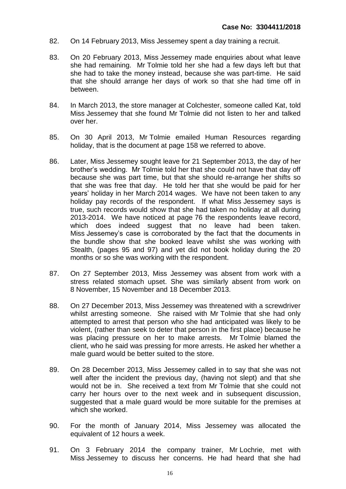- 82. On 14 February 2013, Miss Jessemey spent a day training a recruit.
- 83. On 20 February 2013, Miss Jessemey made enquiries about what leave she had remaining. Mr Tolmie told her she had a few days left but that she had to take the money instead, because she was part-time. He said that she should arrange her days of work so that she had time off in between.
- 84. In March 2013, the store manager at Colchester, someone called Kat, told Miss Jessemey that she found Mr Tolmie did not listen to her and talked over her.
- 85. On 30 April 2013, Mr Tolmie emailed Human Resources regarding holiday, that is the document at page 158 we referred to above.
- 86. Later, Miss Jessemey sought leave for 21 September 2013, the day of her brother's wedding. Mr Tolmie told her that she could not have that day off because she was part time, but that she should re-arrange her shifts so that she was free that day. He told her that she would be paid for her years' holiday in her March 2014 wages. We have not been taken to any holiday pay records of the respondent. If what Miss Jessemey says is true, such records would show that she had taken no holiday at all during 2013-2014. We have noticed at page 76 the respondents leave record, which does indeed suggest that no leave had been taken. Miss Jessemey's case is corroborated by the fact that the documents in the bundle show that she booked leave whilst she was working with Stealth, (pages 95 and 97) and yet did not book holiday during the 20 months or so she was working with the respondent.
- 87. On 27 September 2013, Miss Jessemey was absent from work with a stress related stomach upset. She was similarly absent from work on 8 November, 15 November and 18 December 2013.
- 88. On 27 December 2013, Miss Jessemey was threatened with a screwdriver whilst arresting someone. She raised with Mr Tolmie that she had only attempted to arrest that person who she had anticipated was likely to be violent, (rather than seek to deter that person in the first place) because he was placing pressure on her to make arrests. Mr Tolmie blamed the client, who he said was pressing for more arrests. He asked her whether a male guard would be better suited to the store.
- 89. On 28 December 2013, Miss Jessemey called in to say that she was not well after the incident the previous day, (having not slept) and that she would not be in. She received a text from Mr Tolmie that she could not carry her hours over to the next week and in subsequent discussion, suggested that a male guard would be more suitable for the premises at which she worked.
- 90. For the month of January 2014, Miss Jessemey was allocated the equivalent of 12 hours a week.
- 91. On 3 February 2014 the company trainer, Mr Lochrie, met with Miss Jessemey to discuss her concerns. He had heard that she had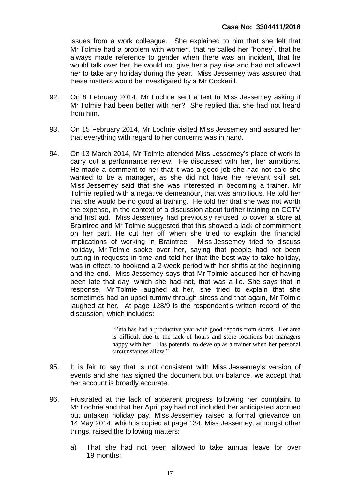issues from a work colleague. She explained to him that she felt that Mr Tolmie had a problem with women, that he called her "honey", that he always made reference to gender when there was an incident, that he would talk over her, he would not give her a pay rise and had not allowed her to take any holiday during the year. Miss Jessemey was assured that these matters would be investigated by a Mr Cockerill.

- 92. On 8 February 2014, Mr Lochrie sent a text to Miss Jessemey asking if Mr Tolmie had been better with her? She replied that she had not heard from him.
- 93. On 15 February 2014, Mr Lochrie visited Miss Jessemey and assured her that everything with regard to her concerns was in hand.
- 94. On 13 March 2014, Mr Tolmie attended Miss Jessemey's place of work to carry out a performance review. He discussed with her, her ambitions. He made a comment to her that it was a good job she had not said she wanted to be a manager, as she did not have the relevant skill set. Miss Jessemey said that she was interested in becoming a trainer. Mr Tolmie replied with a negative demeanour, that was ambitious. He told her that she would be no good at training. He told her that she was not worth the expense, in the context of a discussion about further training on CCTV and first aid. Miss Jessemey had previously refused to cover a store at Braintree and Mr Tolmie suggested that this showed a lack of commitment on her part. He cut her off when she tried to explain the financial implications of working in Braintree. Miss Jessemey tried to discuss holiday, Mr Tolmie spoke over her, saying that people had not been putting in requests in time and told her that the best way to take holiday, was in effect, to bookend a 2-week period with her shifts at the beginning and the end. Miss Jessemey says that Mr Tolmie accused her of having been late that day, which she had not, that was a lie. She says that in response, Mr Tolmie laughed at her, she tried to explain that she sometimes had an upset tummy through stress and that again, Mr Tolmie laughed at her. At page 128/9 is the respondent's written record of the discussion, which includes:

"Peta has had a productive year with good reports from stores. Her area is difficult due to the lack of hours and store locations but managers happy with her. Has potential to develop as a trainer when her personal circumstances allow."

- 95. It is fair to say that is not consistent with Miss Jessemey's version of events and she has signed the document but on balance, we accept that her account is broadly accurate.
- 96. Frustrated at the lack of apparent progress following her complaint to Mr Lochrie and that her April pay had not included her anticipated accrued but untaken holiday pay, Miss Jessemey raised a formal grievance on 14 May 2014, which is copied at page 134. Miss Jessemey, amongst other things, raised the following matters:
	- a) That she had not been allowed to take annual leave for over 19 months;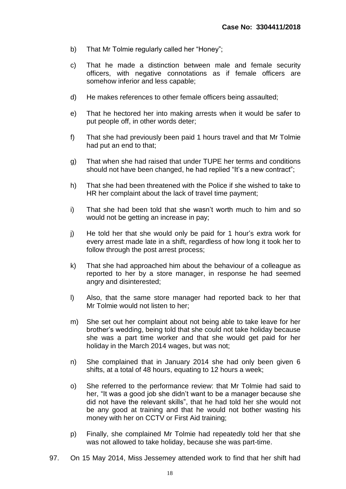- b) That Mr Tolmie regularly called her "Honey";
- c) That he made a distinction between male and female security officers, with negative connotations as if female officers are somehow inferior and less capable;
- d) He makes references to other female officers being assaulted;
- e) That he hectored her into making arrests when it would be safer to put people off, in other words deter;
- f) That she had previously been paid 1 hours travel and that Mr Tolmie had put an end to that;
- g) That when she had raised that under TUPE her terms and conditions should not have been changed, he had replied "It's a new contract";
- h) That she had been threatened with the Police if she wished to take to HR her complaint about the lack of travel time payment;
- i) That she had been told that she wasn't worth much to him and so would not be getting an increase in pay;
- j) He told her that she would only be paid for 1 hour's extra work for every arrest made late in a shift, regardless of how long it took her to follow through the post arrest process;
- k) That she had approached him about the behaviour of a colleague as reported to her by a store manager, in response he had seemed angry and disinterested;
- l) Also, that the same store manager had reported back to her that Mr Tolmie would not listen to her;
- m) She set out her complaint about not being able to take leave for her brother's wedding, being told that she could not take holiday because she was a part time worker and that she would get paid for her holiday in the March 2014 wages, but was not;
- n) She complained that in January 2014 she had only been given 6 shifts, at a total of 48 hours, equating to 12 hours a week;
- o) She referred to the performance review: that Mr Tolmie had said to her, "It was a good job she didn't want to be a manager because she did not have the relevant skills", that he had told her she would not be any good at training and that he would not bother wasting his money with her on CCTV or First Aid training;
- p) Finally, she complained Mr Tolmie had repeatedly told her that she was not allowed to take holiday, because she was part-time.
- 97. On 15 May 2014, Miss Jessemey attended work to find that her shift had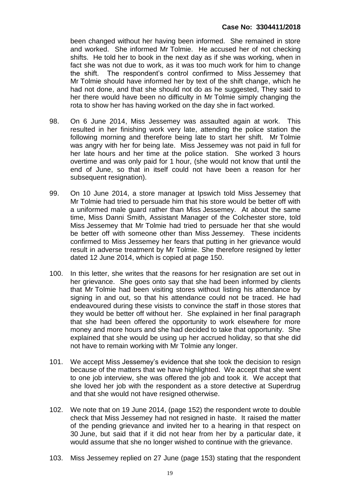been changed without her having been informed. She remained in store and worked. She informed Mr Tolmie. He accused her of not checking shifts. He told her to book in the next day as if she was working, when in fact she was not due to work, as it was too much work for him to change the shift. The respondent's control confirmed to Miss Jessemey that Mr Tolmie should have informed her by text of the shift change, which he had not done, and that she should not do as he suggested, They said to her there would have been no difficulty in Mr Tolmie simply changing the rota to show her has having worked on the day she in fact worked.

- 98. On 6 June 2014, Miss Jessemey was assaulted again at work. This resulted in her finishing work very late, attending the police station the following morning and therefore being late to start her shift. Mr Tolmie was angry with her for being late. Miss Jessemey was not paid in full for her late hours and her time at the police station. She worked 3 hours overtime and was only paid for 1 hour, (she would not know that until the end of June, so that in itself could not have been a reason for her subsequent resignation).
- 99. On 10 June 2014, a store manager at Ipswich told Miss Jessemey that Mr Tolmie had tried to persuade him that his store would be better off with a uniformed male guard rather than Miss Jessemey. At about the same time, Miss Danni Smith, Assistant Manager of the Colchester store, told Miss Jessemey that Mr Tolmie had tried to persuade her that she would be better off with someone other than Miss Jessemey. These incidents confirmed to Miss Jessemey her fears that putting in her grievance would result in adverse treatment by Mr Tolmie. She therefore resigned by letter dated 12 June 2014, which is copied at page 150.
- 100. In this letter, she writes that the reasons for her resignation are set out in her grievance. She goes onto say that she had been informed by clients that Mr Tolmie had been visiting stores without listing his attendance by signing in and out, so that his attendance could not be traced. He had endeavoured during these visists to convince the staff in those stores that they would be better off without her. She explained in her final paragraph that she had been offered the opportunity to work elsewhere for more money and more hours and she had decided to take that opportunity. She explained that she would be using up her accrued holiday, so that she did not have to remain working with Mr Tolmie any longer.
- 101. We accept Miss Jessemey's evidence that she took the decision to resign because of the matters that we have highlighted. We accept that she went to one job interview, she was offered the job and took it. We accept that she loved her job with the respondent as a store detective at Superdrug and that she would not have resigned otherwise.
- 102. We note that on 19 June 2014, (page 152) the respondent wrote to double check that Miss Jessemey had not resigned in haste. It raised the matter of the pending grievance and invited her to a hearing in that respect on 30 June, but said that if it did not hear from her by a particular date, it would assume that she no longer wished to continue with the grievance.
- 103. Miss Jessemey replied on 27 June (page 153) stating that the respondent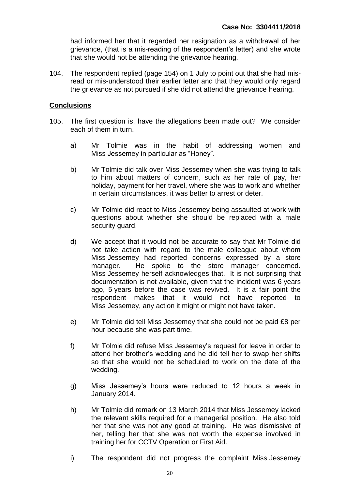had informed her that it regarded her resignation as a withdrawal of her grievance, (that is a mis-reading of the respondent's letter) and she wrote that she would not be attending the grievance hearing.

104. The respondent replied (page 154) on 1 July to point out that she had misread or mis-understood their earlier letter and that they would only regard the grievance as not pursued if she did not attend the grievance hearing.

#### **Conclusions**

- 105. The first question is, have the allegations been made out? We consider each of them in turn.
	- a) Mr Tolmie was in the habit of addressing women and Miss Jessemey in particular as "Honey".
	- b) Mr Tolmie did talk over Miss Jessemey when she was trying to talk to him about matters of concern, such as her rate of pay, her holiday, payment for her travel, where she was to work and whether in certain circumstances, it was better to arrest or deter.
	- c) Mr Tolmie did react to Miss Jessemey being assaulted at work with questions about whether she should be replaced with a male security guard.
	- d) We accept that it would not be accurate to say that Mr Tolmie did not take action with regard to the male colleague about whom Miss Jessemey had reported concerns expressed by a store manager. He spoke to the store manager concerned. Miss Jessemey herself acknowledges that. It is not surprising that documentation is not available, given that the incident was 6 years ago, 5 years before the case was revived. It is a fair point the respondent makes that it would not have reported to Miss Jessemey, any action it might or might not have taken.
	- e) Mr Tolmie did tell Miss Jessemey that she could not be paid £8 per hour because she was part time.
	- f) Mr Tolmie did refuse Miss Jessemey's request for leave in order to attend her brother's wedding and he did tell her to swap her shifts so that she would not be scheduled to work on the date of the wedding.
	- g) Miss Jessemey's hours were reduced to 12 hours a week in January 2014.
	- h) Mr Tolmie did remark on 13 March 2014 that Miss Jessemey lacked the relevant skills required for a managerial position. He also told her that she was not any good at training. He was dismissive of her, telling her that she was not worth the expense involved in training her for CCTV Operation or First Aid.
	- i) The respondent did not progress the complaint Miss Jessemey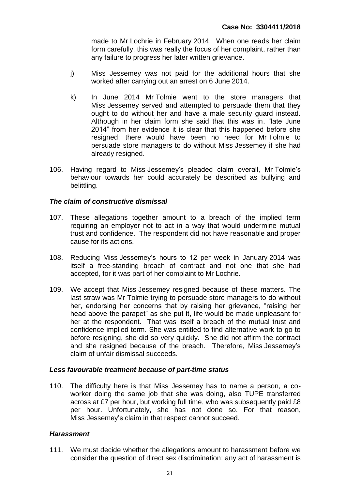made to Mr Lochrie in February 2014. When one reads her claim form carefully, this was really the focus of her complaint, rather than any failure to progress her later written grievance.

- j) Miss Jessemey was not paid for the additional hours that she worked after carrying out an arrest on 6 June 2014.
- k) In June 2014 Mr Tolmie went to the store managers that Miss Jessemey served and attempted to persuade them that they ought to do without her and have a male security guard instead. Although in her claim form she said that this was in, "late June 2014" from her evidence it is clear that this happened before she resigned: there would have been no need for Mr Tolmie to persuade store managers to do without Miss Jessemey if she had already resigned.
- 106. Having regard to Miss Jessemey's pleaded claim overall, Mr Tolmie's behaviour towards her could accurately be described as bullying and belittling.

## *The claim of constructive dismissal*

- 107. These allegations together amount to a breach of the implied term requiring an employer not to act in a way that would undermine mutual trust and confidence. The respondent did not have reasonable and proper cause for its actions.
- 108. Reducing Miss Jessemey's hours to 12 per week in January 2014 was itself a free-standing breach of contract and not one that she had accepted, for it was part of her complaint to Mr Lochrie.
- 109. We accept that Miss Jessemey resigned because of these matters. The last straw was Mr Tolmie trying to persuade store managers to do without her, endorsing her concerns that by raising her grievance, "raising her head above the parapet" as she put it, life would be made unpleasant for her at the respondent. That was itself a breach of the mutual trust and confidence implied term. She was entitled to find alternative work to go to before resigning, she did so very quickly. She did not affirm the contract and she resigned because of the breach. Therefore, Miss Jessemey's claim of unfair dismissal succeeds.

## *Less favourable treatment because of part-time status*

110. The difficulty here is that Miss Jessemey has to name a person, a coworker doing the same job that she was doing, also TUPE transferred across at £7 per hour, but working full time, who was subsequently paid £8 per hour. Unfortunately, she has not done so. For that reason, Miss Jessemey's claim in that respect cannot succeed.

## *Harassment*

111. We must decide whether the allegations amount to harassment before we consider the question of direct sex discrimination: any act of harassment is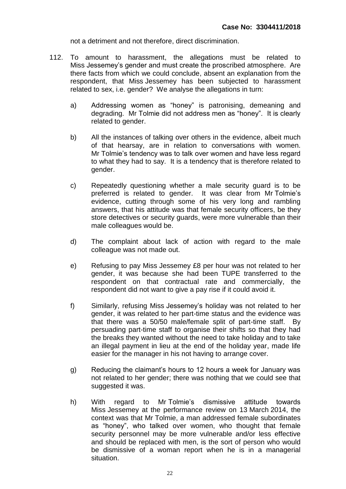not a detriment and not therefore, direct discrimination.

- 112. To amount to harassment, the allegations must be related to Miss Jessemey's gender and must create the proscribed atmosphere. Are there facts from which we could conclude, absent an explanation from the respondent, that Miss Jessemey has been subjected to harassment related to sex, i.e. gender? We analyse the allegations in turn:
	- a) Addressing women as "honey" is patronising, demeaning and degrading. Mr Tolmie did not address men as "honey". It is clearly related to gender.
	- b) All the instances of talking over others in the evidence, albeit much of that hearsay, are in relation to conversations with women. Mr Tolmie's tendency was to talk over women and have less regard to what they had to say. It is a tendency that is therefore related to gender.
	- c) Repeatedly questioning whether a male security guard is to be preferred is related to gender. It was clear from Mr Tolmie's evidence, cutting through some of his very long and rambling answers, that his attitude was that female security officers, be they store detectives or security guards, were more vulnerable than their male colleagues would be.
	- d) The complaint about lack of action with regard to the male colleague was not made out.
	- e) Refusing to pay Miss Jessemey £8 per hour was not related to her gender, it was because she had been TUPE transferred to the respondent on that contractual rate and commercially, the respondent did not want to give a pay rise if it could avoid it.
	- f) Similarly, refusing Miss Jessemey's holiday was not related to her gender, it was related to her part-time status and the evidence was that there was a 50/50 male/female split of part-time staff. By persuading part-time staff to organise their shifts so that they had the breaks they wanted without the need to take holiday and to take an illegal payment in lieu at the end of the holiday year, made life easier for the manager in his not having to arrange cover.
	- g) Reducing the claimant's hours to 12 hours a week for January was not related to her gender; there was nothing that we could see that suggested it was.
	- h) With regard to Mr Tolmie's dismissive attitude towards Miss Jessemey at the performance review on 13 March 2014, the context was that Mr Tolmie, a man addressed female subordinates as "honey", who talked over women, who thought that female security personnel may be more vulnerable and/or less effective and should be replaced with men, is the sort of person who would be dismissive of a woman report when he is in a managerial situation.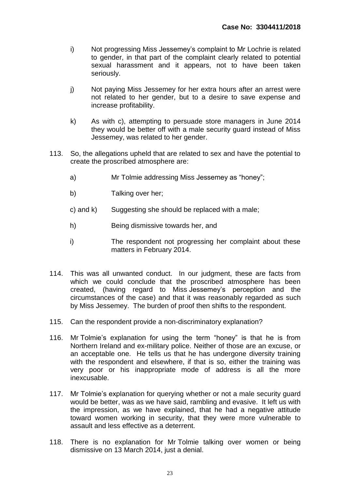- i) Not progressing Miss Jessemey's complaint to Mr Lochrie is related to gender, in that part of the complaint clearly related to potential sexual harassment and it appears, not to have been taken seriously.
- j) Not paying Miss Jessemey for her extra hours after an arrest were not related to her gender, but to a desire to save expense and increase profitability.
- k) As with c), attempting to persuade store managers in June 2014 they would be better off with a male security guard instead of Miss Jessemey, was related to her gender.
- 113. So, the allegations upheld that are related to sex and have the potential to create the proscribed atmosphere are:
	- a) Mr Tolmie addressing Miss Jessemey as "honey";
	- b) Talking over her;
	- c) and k) Suggesting she should be replaced with a male;
	- h) Being dismissive towards her, and
	- i) The respondent not progressing her complaint about these matters in February 2014.
- 114. This was all unwanted conduct. In our judgment, these are facts from which we could conclude that the proscribed atmosphere has been created, (having regard to Miss Jessemey's perception and the circumstances of the case) and that it was reasonably regarded as such by Miss Jessemey. The burden of proof then shifts to the respondent.
- 115. Can the respondent provide a non-discriminatory explanation?
- 116. Mr Tolmie's explanation for using the term "honey" is that he is from Northern Ireland and ex-military police. Neither of those are an excuse, or an acceptable one. He tells us that he has undergone diversity training with the respondent and elsewhere, if that is so, either the training was very poor or his inappropriate mode of address is all the more inexcusable.
- 117. Mr Tolmie's explanation for querying whether or not a male security guard would be better, was as we have said, rambling and evasive. It left us with the impression, as we have explained, that he had a negative attitude toward women working in security, that they were more vulnerable to assault and less effective as a deterrent.
- 118. There is no explanation for Mr Tolmie talking over women or being dismissive on 13 March 2014, just a denial.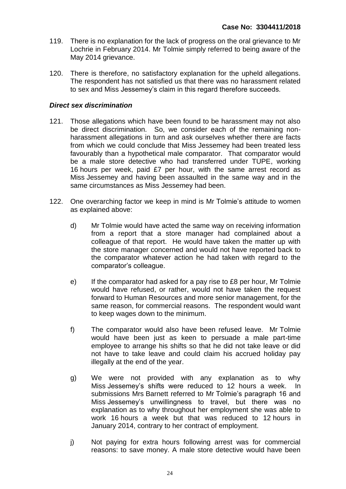- 119. There is no explanation for the lack of progress on the oral grievance to Mr Lochrie in February 2014. Mr Tolmie simply referred to being aware of the May 2014 grievance.
- 120. There is therefore, no satisfactory explanation for the upheld allegations. The respondent has not satisfied us that there was no harassment related to sex and Miss Jessemey's claim in this regard therefore succeeds.

#### *Direct sex discrimination*

- 121. Those allegations which have been found to be harassment may not also be direct discrimination. So, we consider each of the remaining nonharassment allegations in turn and ask ourselves whether there are facts from which we could conclude that Miss Jessemey had been treated less favourably than a hypothetical male comparator. That comparator would be a male store detective who had transferred under TUPE, working 16 hours per week, paid £7 per hour, with the same arrest record as Miss Jessemey and having been assaulted in the same way and in the same circumstances as Miss Jessemey had been.
- 122. One overarching factor we keep in mind is Mr Tolmie's attitude to women as explained above:
	- d) Mr Tolmie would have acted the same way on receiving information from a report that a store manager had complained about a colleague of that report. He would have taken the matter up with the store manager concerned and would not have reported back to the comparator whatever action he had taken with regard to the comparator's colleague.
	- e) If the comparator had asked for a pay rise to £8 per hour, Mr Tolmie would have refused, or rather, would not have taken the request forward to Human Resources and more senior management, for the same reason, for commercial reasons. The respondent would want to keep wages down to the minimum.
	- f) The comparator would also have been refused leave. Mr Tolmie would have been just as keen to persuade a male part-time employee to arrange his shifts so that he did not take leave or did not have to take leave and could claim his accrued holiday pay illegally at the end of the year.
	- g) We were not provided with any explanation as to why Miss Jessemey's shifts were reduced to 12 hours a week. In submissions Mrs Barnett referred to Mr Tolmie's paragraph 16 and Miss Jessemey's unwillingness to travel, but there was no explanation as to why throughout her employment she was able to work 16 hours a week but that was reduced to 12 hours in January 2014, contrary to her contract of employment.
	- j) Not paying for extra hours following arrest was for commercial reasons: to save money. A male store detective would have been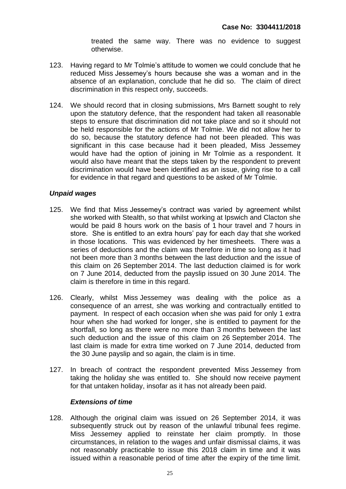treated the same way. There was no evidence to suggest otherwise.

- 123. Having regard to Mr Tolmie's attitude to women we could conclude that he reduced Miss Jessemey's hours because she was a woman and in the absence of an explanation, conclude that he did so. The claim of direct discrimination in this respect only, succeeds.
- 124. We should record that in closing submissions, Mrs Barnett sought to rely upon the statutory defence, that the respondent had taken all reasonable steps to ensure that discrimination did not take place and so it should not be held responsible for the actions of Mr Tolmie. We did not allow her to do so, because the statutory defence had not been pleaded. This was significant in this case because had it been pleaded, Miss Jessemey would have had the option of joining in Mr Tolmie as a respondent. It would also have meant that the steps taken by the respondent to prevent discrimination would have been identified as an issue, giving rise to a call for evidence in that regard and questions to be asked of Mr Tolmie.

## *Unpaid wages*

- 125. We find that Miss Jessemey's contract was varied by agreement whilst she worked with Stealth, so that whilst working at Ipswich and Clacton she would be paid 8 hours work on the basis of 1 hour travel and 7 hours in store. She is entitled to an extra hours' pay for each day that she worked in those locations. This was evidenced by her timesheets. There was a series of deductions and the claim was therefore in time so long as it had not been more than 3 months between the last deduction and the issue of this claim on 26 September 2014. The last deduction claimed is for work on 7 June 2014, deducted from the payslip issued on 30 June 2014. The claim is therefore in time in this regard.
- 126. Clearly, whilst Miss Jessemey was dealing with the police as a consequence of an arrest, she was working and contractually entitled to payment. In respect of each occasion when she was paid for only 1 extra hour when she had worked for longer, she is entitled to payment for the shortfall, so long as there were no more than 3 months between the last such deduction and the issue of this claim on 26 September 2014. The last claim is made for extra time worked on 7 June 2014, deducted from the 30 June payslip and so again, the claim is in time.
- 127. In breach of contract the respondent prevented Miss Jessemey from taking the holiday she was entitled to. She should now receive payment for that untaken holiday, insofar as it has not already been paid.

#### *Extensions of time*

128. Although the original claim was issued on 26 September 2014, it was subsequently struck out by reason of the unlawful tribunal fees regime. Miss Jessemey applied to reinstate her claim promptly. In those circumstances, in relation to the wages and unfair dismissal claims, it was not reasonably practicable to issue this 2018 claim in time and it was issued within a reasonable period of time after the expiry of the time limit.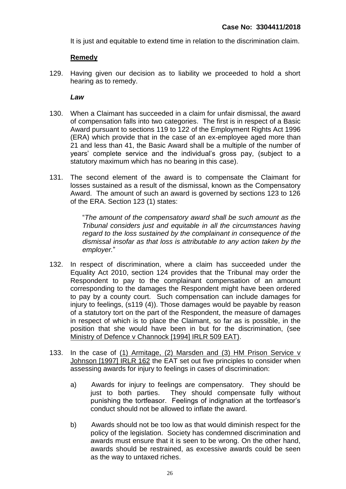It is just and equitable to extend time in relation to the discrimination claim.

## **Remedy**

129. Having given our decision as to liability we proceeded to hold a short hearing as to remedy.

## *Law*

- 130. When a Claimant has succeeded in a claim for unfair dismissal, the award of compensation falls into two categories. The first is in respect of a Basic Award pursuant to sections 119 to 122 of the Employment Rights Act 1996 (ERA) which provide that in the case of an ex-employee aged more than 21 and less than 41, the Basic Award shall be a multiple of the number of years' complete service and the individual's gross pay, (subject to a statutory maximum which has no bearing in this case).
- 131. The second element of the award is to compensate the Claimant for losses sustained as a result of the dismissal, known as the Compensatory Award. The amount of such an award is governed by sections 123 to 126 of the ERA. Section 123 (1) states:

"*The amount of the compensatory award shall be such amount as the Tribunal considers just and equitable in all the circumstances having regard to the loss sustained by the complainant in consequence of the dismissal insofar as that loss is attributable to any action taken by the employer.*"

- 132. In respect of discrimination, where a claim has succeeded under the Equality Act 2010, section 124 provides that the Tribunal may order the Respondent to pay to the complainant compensation of an amount corresponding to the damages the Respondent might have been ordered to pay by a county court. Such compensation can include damages for injury to feelings, (s119 (4)). Those damages would be payable by reason of a statutory tort on the part of the Respondent, the measure of damages in respect of which is to place the Claimant, so far as is possible, in the position that she would have been in but for the discrimination, (see Ministry of Defence v Channock [1994] IRLR 509 EAT).
- 133. In the case of (1) Armitage, (2) Marsden and (3) HM Prison Service v Johnson [1997] IRLR 162 the EAT set out five principles to consider when assessing awards for injury to feelings in cases of discrimination:
	- a) Awards for injury to feelings are compensatory. They should be just to both parties. They should compensate fully without punishing the tortfeasor. Feelings of indignation at the tortfeasor's conduct should not be allowed to inflate the award.
	- b) Awards should not be too low as that would diminish respect for the policy of the legislation. Society has condemned discrimination and awards must ensure that it is seen to be wrong. On the other hand, awards should be restrained, as excessive awards could be seen as the way to untaxed riches.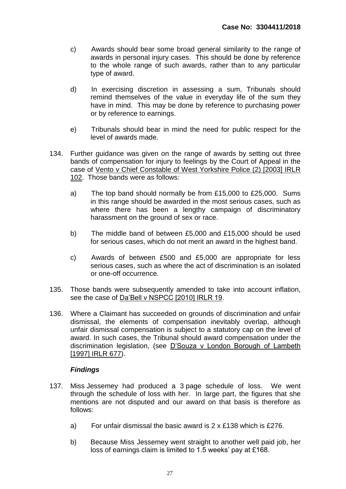- c) Awards should bear some broad general similarity to the range of awards in personal injury cases. This should be done by reference to the whole range of such awards, rather than to any particular type of award.
- d) In exercising discretion in assessing a sum, Tribunals should remind themselves of the value in everyday life of the sum they have in mind. This may be done by reference to purchasing power or by reference to earnings.
- e) Tribunals should bear in mind the need for public respect for the level of awards made.
- 134. Further guidance was given on the range of awards by setting out three bands of compensation for injury to feelings by the Court of Appeal in the case of Vento v Chief Constable of West Yorkshire Police (2) [2003] IRLR 102. Those bands were as follows:
	- a) The top band should normally be from £15,000 to £25,000. Sums in this range should be awarded in the most serious cases, such as where there has been a lengthy campaign of discriminatory harassment on the ground of sex or race.
	- b) The middle band of between £5,000 and £15,000 should be used for serious cases, which do not merit an award in the highest band.
	- c) Awards of between £500 and £5,000 are appropriate for less serious cases, such as where the act of discrimination is an isolated or one-off occurrence.
- 135. Those bands were subsequently amended to take into account inflation, see the case of Da'Bell v NSPCC [2010] IRLR 19.
- 136. Where a Claimant has succeeded on grounds of discrimination and unfair dismissal, the elements of compensation inevitably overlap, although unfair dismissal compensation is subject to a statutory cap on the level of award. In such cases, the Tribunal should award compensation under the discrimination legislation, (see D'Souza v London Borough of Lambeth [1997] IRLR 677).

## *Findings*

- 137. Miss Jessemey had produced a 3 page schedule of loss. We went through the schedule of loss with her. In large part, the figures that she mentions are not disputed and our award on that basis is therefore as follows:
	- a) For unfair dismissal the basic award is 2 x £138 which is £276.
	- b) Because Miss Jessemey went straight to another well paid job, her loss of earnings claim is limited to 1.5 weeks' pay at £168.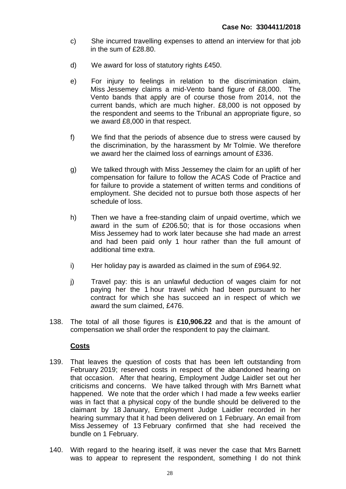- c) She incurred travelling expenses to attend an interview for that job in the sum of £28.80.
- d) We award for loss of statutory rights £450.
- e) For injury to feelings in relation to the discrimination claim, Miss Jessemey claims a mid-Vento band figure of £8,000. The Vento bands that apply are of course those from 2014, not the current bands, which are much higher. £8,000 is not opposed by the respondent and seems to the Tribunal an appropriate figure, so we award £8,000 in that respect.
- f) We find that the periods of absence due to stress were caused by the discrimination, by the harassment by Mr Tolmie. We therefore we award her the claimed loss of earnings amount of £336.
- g) We talked through with Miss Jessemey the claim for an uplift of her compensation for failure to follow the ACAS Code of Practice and for failure to provide a statement of written terms and conditions of employment. She decided not to pursue both those aspects of her schedule of loss.
- h) Then we have a free-standing claim of unpaid overtime, which we award in the sum of £206.50; that is for those occasions when Miss Jessemey had to work later because she had made an arrest and had been paid only 1 hour rather than the full amount of additional time extra.
- i) Her holiday pay is awarded as claimed in the sum of £964.92.
- j) Travel pay: this is an unlawful deduction of wages claim for not paying her the 1 hour travel which had been pursuant to her contract for which she has succeed an in respect of which we award the sum claimed, £476.
- 138. The total of all those figures is **£10,906.22** and that is the amount of compensation we shall order the respondent to pay the claimant.

## **Costs**

- 139. That leaves the question of costs that has been left outstanding from February 2019; reserved costs in respect of the abandoned hearing on that occasion. After that hearing, Employment Judge Laidler set out her criticisms and concerns. We have talked through with Mrs Barnett what happened. We note that the order which I had made a few weeks earlier was in fact that a physical copy of the bundle should be delivered to the claimant by 18 January, Employment Judge Laidler recorded in her hearing summary that it had been delivered on 1 February. An email from Miss Jessemey of 13 February confirmed that she had received the bundle on 1 February.
- 140. With regard to the hearing itself, it was never the case that Mrs Barnett was to appear to represent the respondent, something I do not think